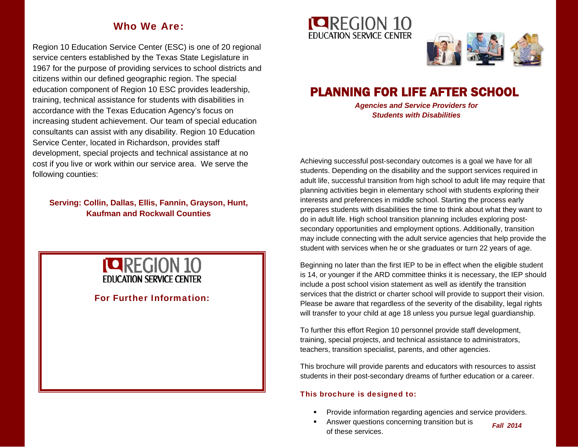## Who We Are:

Region 10 Education Service Center (ESC) is one of 20 regional service centers established by the Texas State Legislature in 1967 for the purpose of providing services to school districts and citizens within our defined geographic region. The special education component of Region 10 ESC provides leadership, training, technical assistance for students with disabilities in accordance with the Texas Education Agency's focus on increasing student achievement. Our team of special education consultants can assist with any disability. Region 10 Education Service Center, located in Richardson, provides staff development, special projects and technical assistance at no cost if you live or work within our service area. We serve the following counties:

## **Serving: Collin, Dallas, Ellis, Fannin, Grayson, Hunt, Kaufman and Rockwall Counties**



For Further Information:





# PLANNING FOR LIFE AFTER SCHOOL

*Agencies and Service Providers for Students with Disabilities*

Achieving successful post-secondary outcomes is a goal we have for all students. Depending on the disability and the support services required in adult life, successful transition from high school to adult life may require that planning activities begin in elementary school with students exploring their interests and preferences in middle school. Starting the process early prepares students with disabilities the time to think about what they want to do in adult life. High school transition planning includes exploring postsecondary opportunities and employment options. Additionally, transition may include connecting with the adult service agencies that help provide the student with services when he or she graduates or turn 22 years of age.

Beginning no later than the first IEP to be in effect when the eligible student is 14, or younger if the ARD committee thinks it is necessary, the IEP should include a post school vision statement as well as identify the transition services that the district or charter school will provide to support their vision. Please be aware that regardless of the severity of the disability, legal rights will transfer to your child at age 18 unless you pursue legal guardianship.

To further this effort Region 10 personnel provide staff development, training, special projects, and technical assistance to administrators, teachers, transition specialist, parents, and other agencies.

This brochure will provide parents and educators with resources to assist students in their post-secondary dreams of further education or a career.

## This brochure is designed to:

- Provide information regarding agencies and service providers.
- Answer questions concerning transition but is of these services.

*Fall 2014*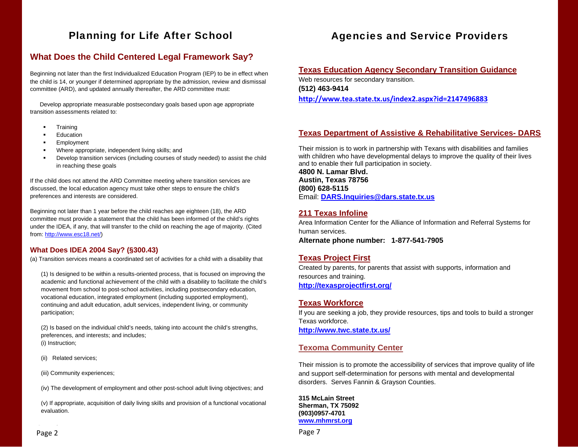## Planning for Life After School

## **What Does the Child Centered Legal Framework Say?**

Beginning not later than the first Individualized Education Program (IEP) to be in effect when the child is 14, or younger if determined appropriate by the admission, review and dismissal committee (ARD), and updated annually thereafter, the ARD committee must:

 Develop appropriate measurable postsecondary goals based upon age appropriate transition assessments related to:

- **Training**
- **Education**
- **Employment**
- **Where appropriate, independent living skills; and**
- Develop transition services (including courses of study needed) to assist the child in reaching these goals

If the child does not attend the ARD Committee meeting where transition services are discussed, the local education agency must take other steps to ensure the child's preferences and interests are considered.

Beginning not later than 1 year before the child reaches age eighteen (18), the ARD committee must provide a statement that the child has been informed of the child's rights under the IDEA, if any, that will transfer to the child on reaching the age of majority. (Cited from: http://www.esc18.net/)

## **What Does IDEA 2004 Say? (§300.43)**

(a) Transition services means a coordinated set of activities for a child with a disability that

(1) Is designed to be within a results-oriented process, that is focused on improving the academic and functional achievement of the child with a disability to facilitate the child's movement from school to post-school activities, including postsecondary education, vocational education, integrated employment (including supported employment), continuing and adult education, adult services, independent living, or community participation;

(2) Is based on the individual child's needs, taking into account the child's strengths, preferences, and interests; and includes; (i) Instruction;

(ii) Related services;

(iii) Community experiences;

(iv) The development of employment and other post-school adult living objectives; and

(v) If appropriate, acquisition of daily living skills and provision of a functional vocational evaluation.

## Agencies and Service Providers

#### **Texas Education Agency Secondary Transition Guidance**

Web resources for secondary transition. **(512) 463-9414** 

**http://www.tea.state.tx.us/index2.aspx?id=2147496883**

## **Texas Department of Assistive & Rehabilitative Services- DARS**

Their mission is to work in partnership with Texans with disabilities and families with children who have developmental delays to improve the quality of their lives and to enable their full participation in society.

**4800 N. Lamar Blvd. Austin, Texas 78756 (800) 628-5115** Email: **DARS.Inquiries@dars.state.tx.us**

## **211 Texas Infoline**

Area Information Center for the Alliance of Information and Referral Systems for human services.

**Alternate phone number: 1-877-541-7905** 

## **Texas Project First**

Created by parents, for parents that assist with supports, information and resources and training. **http://texasprojectfirst.org/**

#### **Texas Workforce**

If you are seeking a job, they provide resources, tips and tools to build a stronger Texas workforce.

**http://www.twc.state.tx.us/**

## **Texoma Community Center**

Their mission is to promote the accessibility of services that improve quality of life and support self-determination for persons with mental and developmental disorders. Serves Fannin & Grayson Counties.

**315 McLain Street Sherman, TX 75092 (903)0957-4701 www.mhmrst.org**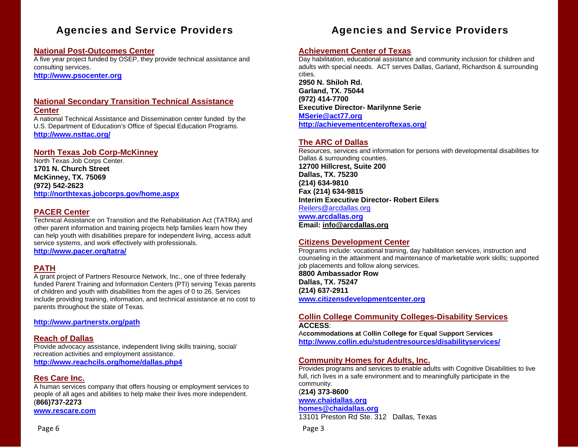## Agencies and Service Providers

## **National Post-Outcomes Center**

A five year project funded by OSEP, they provide technical assistance and consulting services.

**http://www.psocenter.org**

#### **National Secondary Transition Technical Assistance Center**

A national Technical Assistance and Dissemination center funded by the U.S. Department of Education's Office of Special Education Programs. **http://www.nsttac.org/**

## **North Texas Job Corp-McKinney**

North Texas Job Corps Center. **1701 N. Church Street McKinney, TX. 75069 (972) 542-2623 http://northtexas.jobcorps.gov/home.aspx**

## **PACER Center**

Technical Assistance on Transition and the Rehabilitation Act (TATRA) and other parent information and training projects help families learn how they can help youth with disabilities prepare for independent living, access adult service systems, and work effectively with professionals. **http://www.pacer.org/tatra/**

## **PATH**

A grant project of Partners Resource Network, Inc., one of three federally funded Parent Training and Information Centers (PTI) serving Texas parents of children and youth with disabilities from the ages of 0 to 26. Services include providing training, information, and technical assistance at no cost to parents throughout the state of Texas.

**http://www.partnerstx.org/path** 

## **Reach of Dallas**

Provide advocacy assistance, independent living skills training, social/ recreation activities and employment assistance. **http://www.reachcils.org/home/dallas.php4**

## **Res Care Inc.**

A human services company that offers housing or employment services to people of all ages and abilities to help make their lives more independent. (**866)737-2273**

**www.rescare.com**

## **Achievement Center of Texas**

Day habilitation, educational assistance and community inclusion for children and adults with special needs. ACT serves Dallas, Garland, Richardson & surrounding cities. **2950 N. Shiloh Rd. Garland, TX. 75044 (972) 414-7700 Executive Director- Marilynne Serie MSerie@act77.org http://achievementcenteroftexas.org/**

## **The ARC of Dallas**

Resources, services and information for persons with developmental disabilities for Dallas & surrounding counties. **12700 Hillcrest, Suite 200 Dallas, TX. 75230 (214) 634-9810 Fax (214) 634-9815 Interim Executive Director- Robert Eilers** Reilers@arcdallas.org **www.arcdallas.org Email: info@arcdallas.org** 

## **Citizens Development Center**

Programs include: vocational training, day habilitation services, instruction and counseling in the attainment and maintenance of marketable work skills; supported job placements and follow along services.

**8800 Ambassador Row Dallas, TX. 75247 (214) 637-2911 www.citizensdevelopmentcenter.org**

#### **Collin College Community Colleges-Disability Services ACCESS**:

A**ccommodations at**  C**ollin**  C**ollege for** E**qual**  S**upport**  S**ervices http://www.collin.edu/studentresources/disabilityservices/**

## **Community Homes for Adults, Inc.**

Provides programs and services to enable adults with Cognitive Disabilities to live full, rich lives in a safe environment and to meaningfully participate in the community.

## (**214) 373-8600**

**www.chaidallas.org homes@chaidallas.org**

13101 Preston Rd Ste. 312 Dallas, Texas